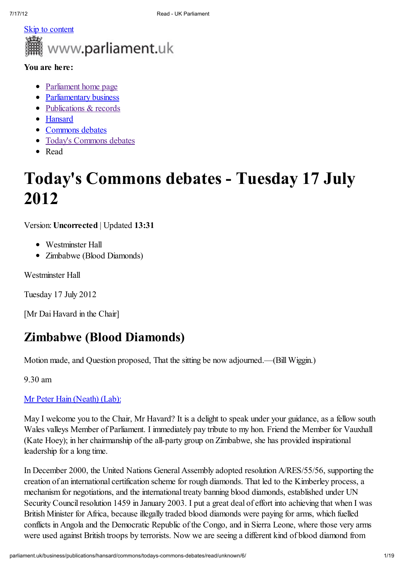

### You are here:

- Parliament home page
- Parliamentary business
- Publications & records
- Hansard
- Commons debates
- Today's Commons debates
- Read

# Today's Commons debates - Tuesday 17 July 2012

Version: Uncorrected | Updated 13:31

- Westminster Hall
- Zimbabwe (Blood Diamonds)

Westminster Hall

Tuesday 17 July 2012

[Mr Dai Havard in the Chair]

## Zimbabwe (Blood Diamonds)

Motion made, and Question proposed, That the sitting be now adjourned.—(Bill Wiggin.)

9.30 am

### Mr Peter Hain (Neath) (Lab):

May I welcome you to the Chair, Mr Havard? It is a delight to speak under your guidance, as a fellow south Wales valleys Member of Parliament. I immediately pay tribute to my hon. Friend the Member for Vauxhall (Kate Hoey); in her chairmanship of the all-party group on Zimbabwe, she has provided inspirational leadership for a long time.

In December 2000, the United Nations General Assembly adopted resolution A/RES/55/56, supporting the creation of an international certification scheme for rough diamonds. That led to the Kimberley process, a mechanism for negotiations, and the international treaty banning blood diamonds, established under UN Security Council resolution 1459 in January 2003. I put a great deal of effort into achieving that when I was British Minister for Africa, because illegally traded blood diamonds were paying for arms, which fuelled conflicts in Angola and the Democratic Republic of the Congo, and in Sierra Leone, where those very arms were used against British troops by terrorists. Now we are seeing a different kind of blood diamond from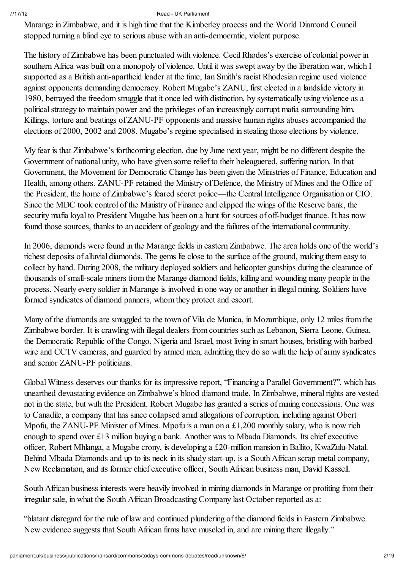Marange in Zimbabwe, and it is high time that the Kimberley process and the World Diamond Council stopped turning a blind eye to serious abuse with an anti-democratic, violent purpose.

The history of Zimbabwe has been punctuated with violence. CecilRhodes's exercise of colonial power in southern Africa was built on a monopoly of violence. Until it was swept away by the liberation war, which I supported as a British anti-apartheid leader at the time, Ian Smith's racist Rhodesian regime used violence against opponents demanding democracy. Robert Mugabe's ZANU, first elected in a landslide victory in 1980, betrayed the freedom struggle that it once led with distinction, by systematically using violence as a political strategy to maintain power and the privileges of an increasingly corrupt mafia surrounding him. Killings, torture and beatings of ZANU-PF opponents and massive human rights abuses accompanied the elections of 2000, 2002 and 2008. Mugabe's regime specialised in stealing those elections by violence.

My fear is that Zimbabwe's forthcoming election, due by June next year, might be no different despite the Government of national unity, who have given some relief to their beleaguered, suffering nation. In that Government, the Movement for Democratic Change has been given the Ministries of Finance, Education and Health, among others. ZANU-PF retained the Ministry of Defence, the Ministry of Mines and the Office of the President, the home of Zimbabwe's feared secret police—the Central Intelligence Organisation or CIO. Since the MDC took control of the Ministry of Finance and clipped the wings of the Reserve bank, the security mafia loyal to President Mugabe has been on a hunt for sources of off-budget finance. It has now found those sources, thanks to an accident of geology and the failures of the international community.

In 2006, diamonds were found in the Marange fields in eastern Zimbabwe. The area holds one of the world's richest deposits of alluvial diamonds. The gems lie close to the surface of the ground, making them easy to collect by hand. During 2008, the military deployed soldiers and helicopter gunships during the clearance of thousands ofsmall-scale miners from the Marange diamond fields, killing and wounding many people in the process. Nearly every soldier in Marange is involved in one way or another in illegal mining. Soldiers have formed syndicates of diamond panners, whom they protect and escort.

Many of the diamonds are smuggled to the town of Vila de Manica, in Mozambique, only 12 miles from the Zimbabwe border. It is crawling with illegal dealers from countries such as Lebanon, Sierra Leone, Guinea, the Democratic Republic of the Congo, Nigeria and Israel, most living in smart houses, bristling with barbed wire and CCTV cameras, and guarded by armed men, admitting they do so with the help of army syndicates and senior ZANU-PF politicians.

Global Witness deserves our thanks for its impressive report, "Financing a Parallel Government?", which has unearthed devastating evidence on Zimbabwe's blood diamond trade. In Zimbabwe, mineral rights are vested not in the state, but with the President. Robert Mugabe has granted a series of mining concessions. One was to Canadile, a company that has since collapsed amid allegations of corruption, including against Obert Mpofu, the ZANU-PF Minister of Mines. Mpofu is a man on a £1,200 monthly salary, who is now rich enough to spend over £13 million buying a bank. Another was to Mbada Diamonds. Its chief executive officer, Robert Mhlanga, a Mugabe crony, is developing a £20-million mansion in Ballito, KwaZulu-Natal. Behind Mbada Diamonds and up to its neck in its shady start-up, is a South African scrap metal company, New Reclamation, and its former chief executive officer, South African business man, David Kassell.

South African business interests were heavily involved in mining diamonds in Marange or profiting from their irregular sale, in what the South African Broadcasting Company last October reported as a:

"blatant disregard for the rule of law and continued plundering of the diamond fields in Eastern Zimbabwe. New evidence suggests that South African firms have muscled in, and are mining there illegally."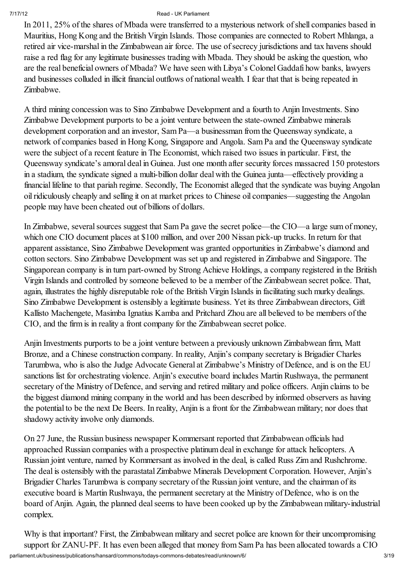In 2011, 25% of the shares of Mbada were transferred to a mysterious network ofshell companies based in Mauritius, Hong Kong and the British Virgin Islands. Those companies are connected to Robert Mhlanga, a retired air vice-marshal in the Zimbabwean air force. The use of secrecy jurisdictions and tax havens should raise a red flag for any legitimate businesses trading with Mbada. They should be asking the question, who are the real beneficial owners of Mbada? We have seen with Libya's Colonel Gaddafi how banks, lawyers and businesses colluded in illicit financial outflows of national wealth. I fear that that is being repeated in Zimbabwe.

A third mining concession was to Sino Zimbabwe Development and a fourth to Anjin Investments. Sino Zimbabwe Development purports to be a joint venture between the state-owned Zimbabwe minerals development corporation and an investor, Sam Pa—a businessman from the Queensway syndicate, a network of companies based in Hong Kong, Singapore and Angola. Sam Pa and the Queensway syndicate were the subject of a recent feature in The Economist, which raised two issues in particular. First, the Queensway syndicate's amoral deal in Guinea. Just one month after security forces massacred 150 protestors in a stadium, the syndicate signed a multi-billion dollar deal with the Guinea junta—effectively providing a financial lifeline to that pariah regime. Secondly, The Economist alleged that the syndicate was buying Angolan oil ridiculously cheaply and selling it on at market prices to Chinese oil companies—suggesting the Angolan people may have been cheated out of billions of dollars.

In Zimbabwe, several sources suggest that Sam Pa gave the secret police—the CIO—a large sum of money, which one CIO document places at \$100 million, and over 200 Nissan pick-up trucks. In return for that apparent assistance, Sino Zimbabwe Development was granted opportunities in Zimbabwe's diamond and cotton sectors. Sino Zimbabwe Development was set up and registered in Zimbabwe and Singapore. The Singaporean company is in turn part-owned by Strong Achieve Holdings, a company registered in the British Virgin Islands and controlled by someone believed to be a member of the Zimbabwean secret police. That, again, illustrates the highly disreputable role of the British Virgin Islands in facilitating such murky dealings. Sino Zimbabwe Development is ostensibly a legitimate business. Yet its three Zimbabwean directors, Gift Kallisto Machengete, Masimba Ignatius Kamba and Pritchard Zhou are all believed to be members of the CIO, and the firm is in reality a front company for the Zimbabwean secret police.

Anjin Investments purports to be a joint venture between a previously unknown Zimbabwean firm, Matt Bronze, and a Chinese construction company. In reality, Anjin's company secretary is Brigadier Charles Tarumbwa, who is also the Judge Advocate General at Zimbabwe's Ministry of Defence, and is on the EU sanctions list for orchestrating violence. Anjin's executive board includes Martin Rushwaya, the permanent secretary of the Ministry of Defence, and serving and retired military and police officers. Anjin claims to be the biggest diamond mining company in the world and has been described by informed observers as having the potential to be the next De Beers. In reality, Anjin is a front for the Zimbabwean military; nor does that shadowy activity involve only diamonds.

On 27 June, the Russian business newspaper Kommersant reported that Zimbabwean officials had approached Russian companies with a prospective platinum deal in exchange for attack helicopters. A Russian joint venture, named by Kommersant as involved in the deal, is called Russ Zim and Rushchrome. The deal is ostensibly with the parastatal Zimbabwe Minerals Development Corporation. However, Anjin's Brigadier Charles Tarumbwa is company secretary of the Russian joint venture, and the chairman of its executive board is Martin Rushwaya, the permanent secretary at the Ministry of Defence, who is on the board of Anjin. Again, the planned deal seems to have been cooked up by the Zimbabwean military-industrial complex.

parliament.uk/business/publications/hansard/commons/todays-commons-debates/read/unknown/6/ 3/19 Why is that important? First, the Zimbabwean military and secret police are known for their uncompromising support for ZANU-PF. It has even been alleged that money from Sam Pa has been allocated towards a CIO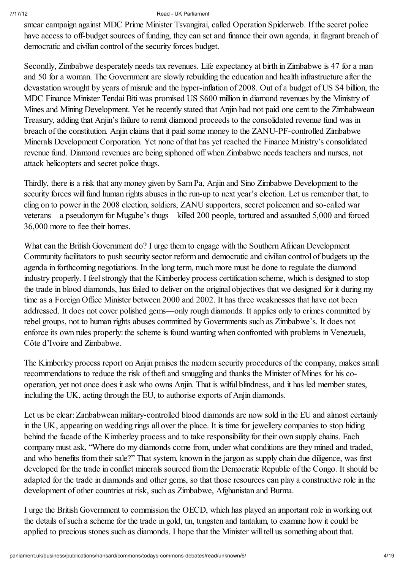smear campaign against MDC Prime Minister Tsvangirai, called Operation Spiderweb. If the secret police have access to off-budget sources of funding, they can set and finance their own agenda, in flagrant breach of democratic and civilian control of the security forces budget.

Secondly, Zimbabwe desperately needs tax revenues. Life expectancy at birth in Zimbabwe is 47 for a man and 50 for a woman. The Government are slowly rebuilding the education and health infrastructure after the devastation wrought by years of misrule and the hyper-inflation of 2008. Out of a budget of US \$4 billion, the MDC Finance Minister Tendai Biti was promised US \$600 million in diamond revenues by the Ministry of Mines and Mining Development. Yet he recently stated that Anjin had not paid one cent to the Zimbabwean Treasury, adding that Anjin's failure to remit diamond proceeds to the consolidated revenue fund was in breach of the constitution. Anjin claims that it paid some money to the ZANU-PF-controlled Zimbabwe Minerals Development Corporation. Yet none of that has yet reached the Finance Ministry's consolidated revenue fund. Diamond revenues are being siphoned off when Zimbabwe needs teachers and nurses, not attack helicopters and secret police thugs.

Thirdly, there is a risk that any money given by Sam Pa, Anjin and Sino Zimbabwe Development to the security forces will fund human rights abuses in the run-up to next year's election. Let us remember that, to cling on to power in the 2008 election, soldiers, ZANU supporters, secret policemen and so-called war veterans—a pseudonym for Mugabe's thugs—killed 200 people, tortured and assaulted 5,000 and forced 36,000 more to flee their homes.

What can the British Government do? I urge them to engage with the Southern African Development Community facilitators to push security sector reform and democratic and civilian control of budgets up the agenda in forthcoming negotiations. In the long term, much more must be done to regulate the diamond industry properly. I feel strongly that the Kimberley process certification scheme, which is designed to stop the trade in blood diamonds, has failed to deliver on the original objectives that we designed for it during my time as a Foreign Office Minister between 2000 and 2002. It has three weaknesses that have not been addressed. It does not cover polished gems—only rough diamonds. It applies only to crimes committed by rebel groups, not to human rights abuses committed by Governments such as Zimbabwe's. It does not enforce its own rules properly: the scheme is found wanting when confronted with problems in Venezuela, Côte d'Ivoire and Zimbabwe.

The Kimberley process report on Anjin praises the modern security procedures of the company, makes small recommendations to reduce the risk of theft and smuggling and thanks the Minister of Mines for his cooperation, yet not once does it ask who owns Anjin. That is wilful blindness, and it has led member states, including the UK, acting through the EU, to authorise exports of Anjin diamonds.

Let us be clear: Zimbabwean military-controlled blood diamonds are now sold in the EU and almost certainly in the UK, appearing on wedding rings all over the place. It is time for jewellery companies to stop hiding behind the facade of the Kimberley process and to take responsibility for their own supply chains. Each company must ask, "Where do my diamonds come from, under what conditions are they mined and traded, and who benefits from their sale?" That system, known in the jargon as supply chain due diligence, was first developed for the trade in conflict minerals sourced from the Democratic Republic of the Congo. It should be adapted for the trade in diamonds and other gems, so that those resources can play a constructive role in the development of other countries at risk, such as Zimbabwe, Afghanistan and Burma.

I urge the British Government to commission the OECD, which has played an important role in working out the details of such a scheme for the trade in gold, tin, tungsten and tantalum, to examine how it could be applied to precious stones such as diamonds. I hope that the Minister will tell us something about that.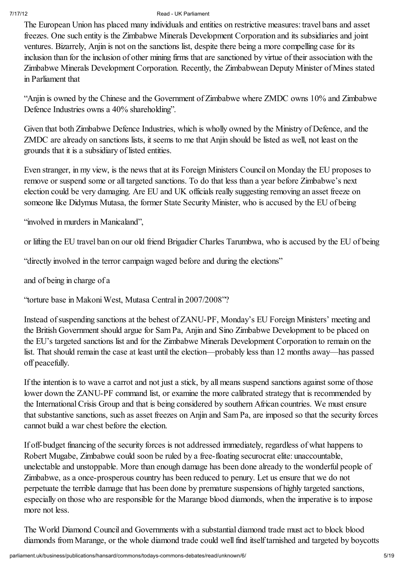The European Union has placed many individuals and entities on restrictive measures: travel bans and asset freezes. One such entity is the Zimbabwe Minerals Development Corporation and its subsidiaries and joint ventures. Bizarrely, Anjin is not on the sanctions list, despite there being a more compelling case for its inclusion than for the inclusion of other mining firms that are sanctioned by virtue of their association with the Zimbabwe Minerals Development Corporation. Recently, the Zimbabwean Deputy Minister of Mines stated in Parliament that

"Anjin is owned by the Chinese and the Government of Zimbabwe where ZMDC owns 10% and Zimbabwe Defence Industries owns a 40% shareholding".

Given that both Zimbabwe Defence Industries, which is wholly owned by the Ministry of Defence, and the ZMDC are already on sanctions lists, it seems to me that Anjin should be listed as well, not least on the grounds that it is a subsidiary of listed entities.

Even stranger, in my view, is the news that at its Foreign Ministers Council on Monday the EU proposes to remove or suspend some or all targeted sanctions. To do that less than a year before Zimbabwe's next election could be very damaging. Are EU and UK officials really suggesting removing an asset freeze on someone like Didymus Mutasa, the former State Security Minister, who is accused by the EU of being

"involved in murders in Manicaland",

or lifting the EU travel ban on our old friend Brigadier Charles Tarumbwa, who is accused by the EU of being

"directly involved in the terror campaign waged before and during the elections"

and of being in charge of a

"torture base in Makoni West, Mutasa Central in 2007/2008"?

Instead of suspending sanctions at the behest of ZANU-PF, Monday's EU Foreign Ministers' meeting and the British Government should argue for Sam Pa, Anjin and Sino Zimbabwe Development to be placed on the EU's targeted sanctions list and for the Zimbabwe Minerals Development Corporation to remain on the list. That should remain the case at least until the election—probably less than 12 months away—has passed off peacefully.

If the intention is to wave a carrot and not just a stick, by all means suspend sanctions against some of those lower down the ZANU-PF command list, or examine the more calibrated strategy that is recommended by the InternationalCrisis Group and that is being considered by southern African countries. We must ensure that substantive sanctions, such as asset freezes on Anjin and Sam Pa, are imposed so that the security forces cannot build a war chest before the election.

If off-budget financing of the security forces is not addressed immediately, regardless of what happens to Robert Mugabe, Zimbabwe could soon be ruled by a free-floating securocrat elite: unaccountable, unelectable and unstoppable. More than enough damage has been done already to the wonderful people of Zimbabwe, as a once-prosperous country has been reduced to penury. Let us ensure that we do not perpetuate the terrible damage that has been done by premature suspensions of highly targeted sanctions, especially on those who are responsible for the Marange blood diamonds, when the imperative is to impose more not less.

The World Diamond Council and Governments with a substantial diamond trade must act to block blood diamonds from Marange, or the whole diamond trade could well find itself tarnished and targeted by boycotts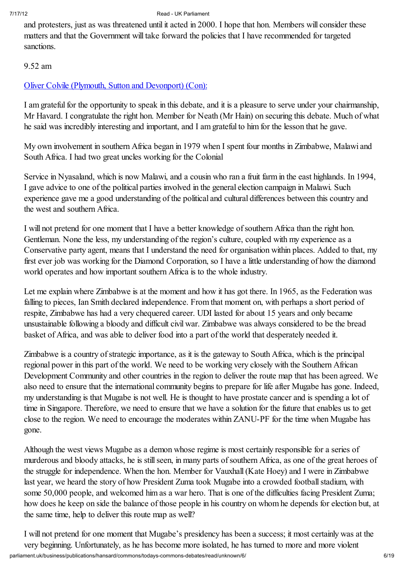and protesters, just as was threatened until it acted in 2000. I hope that hon. Members will consider these matters and that the Government will take forward the policies that I have recommended for targeted sanctions.

### 9.52 am

### Oliver Colvile (Plymouth, Sutton and Devonport) (Con):

I am grateful for the opportunity to speak in this debate, and it is a pleasure to serve under your chairmanship, Mr Havard. I congratulate the right hon. Member for Neath (Mr Hain) on securing this debate. Much of what he said was incredibly interesting and important, and I am grateful to him for the lesson that he gave.

My own involvement in southern Africa began in 1979 when I spent four months in Zimbabwe, Malawi and South Africa. I had two great uncles working for the Colonial

Service in Nyasaland, which is now Malawi, and a cousin who ran a fruit farm in the east highlands. In 1994, I gave advice to one of the political parties involved in the general election campaign in Malawi. Such experience gave me a good understanding of the political and cultural differences between this country and the west and southern Africa.

I will not pretend for one moment that I have a better knowledge ofsouthern Africa than the right hon. Gentleman. None the less, my understanding of the region's culture, coupled with my experience as a Conservative party agent, means that I understand the need for organisation within places. Added to that, my first ever job was working for the Diamond Corporation, so I have a little understanding of how the diamond world operates and how important southern Africa is to the whole industry.

Let me explain where Zimbabwe is at the moment and how it has got there. In 1965, as the Federation was falling to pieces, Ian Smith declared independence. From that moment on, with perhaps a short period of respite, Zimbabwe has had a very chequered career. UDI lasted for about 15 years and only became unsustainable following a bloody and difficult civil war. Zimbabwe was always considered to be the bread basket of Africa, and was able to deliver food into a part of the world that desperately needed it.

Zimbabwe is a country of strategic importance, as it is the gateway to South Africa, which is the principal regional power in this part of the world. We need to be working very closely with the Southern African Development Community and other countries in the region to deliver the route map that has been agreed. We also need to ensure that the international community begins to prepare for life after Mugabe has gone. Indeed, my understanding is that Mugabe is not well. He is thought to have prostate cancer and is spending a lot of time in Singapore. Therefore, we need to ensure that we have a solution for the future that enables us to get close to the region. We need to encourage the moderates within ZANU-PF for the time when Mugabe has gone.

Although the west views Mugabe as a demon whose regime is most certainly responsible for a series of murderous and bloody attacks, he is still seen, in many parts of southern Africa, as one of the great heroes of the struggle for independence. When the hon. Member for Vauxhall(Kate Hoey) and I were in Zimbabwe last year, we heard the story of how President Zuma took Mugabe into a crowded football stadium, with some 50,000 people, and welcomed him as a war hero. That is one of the difficulties facing President Zuma; how does he keep on side the balance of those people in his country on whom he depends for election but, at the same time, help to deliver this route map as well?

parliament.uk/business/publications/hansard/commons/todays-commons-debates/read/unknown/6/ 6/19 I will not pretend for one moment that Mugabe's presidency has been a success; it most certainly was at the very beginning. Unfortunately, as he has become more isolated, he has turned to more and more violent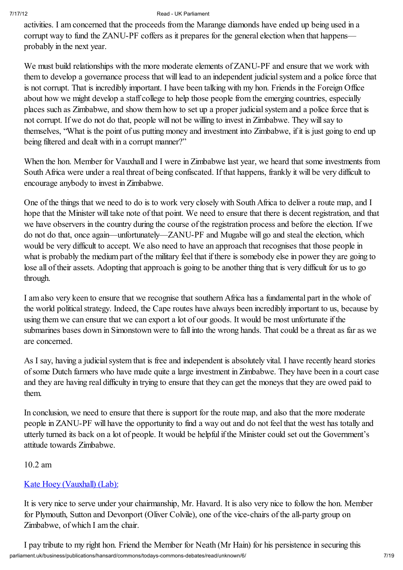activities. I am concerned that the proceeds from the Marange diamonds have ended up being used in a corrupt way to fund the ZANU-PF coffers as it prepares for the general election when that happens probably in the next year.

We must build relationships with the more moderate elements of ZANU-PF and ensure that we work with them to develop a governance process that will lead to an independent judicialsystem and a police force that is not corrupt. That is incredibly important. I have been talking with my hon. Friends in the Foreign Office about how we might develop a staff college to help those people from the emerging countries, especially places such as Zimbabwe, and show them how to set up a proper judicial system and a police force that is not corrupt. If we do not do that, people will not be willing to invest in Zimbabwe. They willsay to themselves, "What is the point of us putting money and investment into Zimbabwe, if it is just going to end up being filtered and dealt with in a corrupt manner?"

When the hon. Member for Vauxhall and I were in Zimbabwe last year, we heard that some investments from South Africa were under a real threat of being confiscated. If that happens, frankly it will be very difficult to encourage anybody to invest in Zimbabwe.

One of the things that we need to do is to work very closely with South Africa to deliver a route map, and I hope that the Minister will take note of that point. We need to ensure that there is decent registration, and that we have observers in the country during the course of the registration process and before the election. If we do not do that, once again—unfortunately—ZANU-PF and Mugabe will go and steal the election, which would be very difficult to accept. We also need to have an approach that recognises that those people in what is probably the medium part of the military feel that if there is somebody else in power they are going to lose all of their assets. Adopting that approach is going to be another thing that is very difficult for us to go through.

I am also very keen to ensure that we recognise that southern Africa has a fundamental part in the whole of the world political strategy. Indeed, the Cape routes have always been incredibly important to us, because by using them we can ensure that we can export a lot of our goods. It would be most unfortunate if the submarines bases down in Simonstown were to fall into the wrong hands. That could be a threat as far as we are concerned.

As I say, having a judicial system that is free and independent is absolutely vital. I have recently heard stories ofsome Dutch farmers who have made quite a large investment in Zimbabwe. They have been in a court case and they are having real difficulty in trying to ensure that they can get the moneys that they are owed paid to them.

In conclusion, we need to ensure that there is support for the route map, and also that the more moderate people in ZANU-PF will have the opportunity to find a way out and do not feel that the west has totally and utterly turned its back on a lot of people. It would be helpful if the Minister could set out the Government's attitude towards Zimbabwe.

### 10.2 am

### Kate Hoey (Vauxhall) (Lab):

It is very nice to serve under your chairmanship, Mr. Havard. It is also very nice to follow the hon. Member for Plymouth, Sutton and Devonport (Oliver Colvile), one of the vice-chairs of the all-party group on Zimbabwe, of which I am the chair.

parliament.uk/business/publications/hansard/commons/todays-commons-debates/read/unknown/6/ 7/19 I pay tribute to my right hon. Friend the Member for Neath (Mr Hain) for his persistence in securing this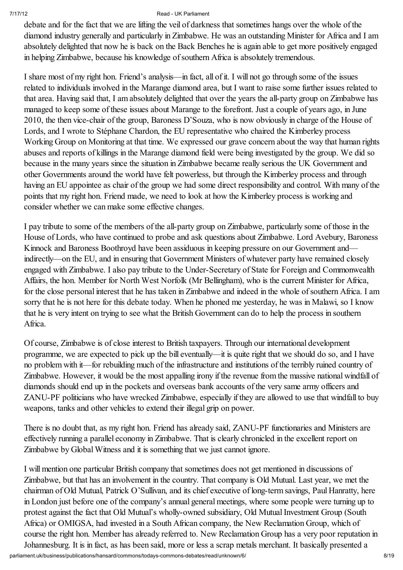debate and for the fact that we are lifting the veil of darkness that sometimes hangs over the whole of the diamond industry generally and particularly in Zimbabwe. He was an outstanding Minister for Africa and I am absolutely delighted that now he is back on the Back Benches he is again able to get more positively engaged in helping Zimbabwe, because his knowledge ofsouthern Africa is absolutely tremendous.

I share most of my right hon. Friend's analysis—in fact, all of it. I will not go through some of the issues related to individuals involved in the Marange diamond area, but I want to raise some further issues related to that area. Having said that, I am absolutely delighted that over the years the all-party group on Zimbabwe has managed to keep some of these issues about Marange to the forefront. Just a couple of years ago, in June 2010, the then vice-chair of the group, Baroness D'Souza, who is now obviously in charge of the House of Lords, and I wrote to Stéphane Chardon, the EU representative who chaired the Kimberley process Working Group on Monitoring at that time. We expressed our grave concern about the way that human rights abuses and reports of killings in the Marange diamond field were being investigated by the group. We did so because in the many years since the situation in Zimbabwe became really serious the UK Government and other Governments around the world have felt powerless, but through the Kimberley process and through having an EU appointee as chair of the group we had some direct responsibility and control. With many of the points that my right hon. Friend made, we need to look at how the Kimberley process is working and consider whether we can make some effective changes.

I pay tribute to some of the members of the all-party group on Zimbabwe, particularly some of those in the House of Lords, who have continued to probe and ask questions about Zimbabwe. Lord Avebury, Baroness Kinnock and Baroness Boothroyd have been assiduous in keeping pressure on our Government and indirectly—on the EU, and in ensuring that Government Ministers of whatever party have remained closely engaged with Zimbabwe. I also pay tribute to the Under-Secretary of State for Foreign and Commonwealth Affairs, the hon. Member for North West Norfolk (Mr Bellingham), who is the current Minister for Africa, for the close personal interest that he has taken in Zimbabwe and indeed in the whole ofsouthern Africa. I am sorry that he is not here for this debate today. When he phoned me yesterday, he was in Malawi, so I know that he is very intent on trying to see what the British Government can do to help the process in southern Africa.

Of course, Zimbabwe is of close interest to British taxpayers. Through our international development programme, we are expected to pick up the bill eventually—it is quite right that we should do so, and I have no problem with it—for rebuilding much of the infrastructure and institutions of the terribly ruined country of Zimbabwe. However, it would be the most appalling irony if the revenue from the massive national windfall of diamonds should end up in the pockets and overseas bank accounts of the very same army officers and ZANU-PF politicians who have wrecked Zimbabwe, especially if they are allowed to use that windfall to buy weapons, tanks and other vehicles to extend their illegal grip on power.

There is no doubt that, as my right hon. Friend has already said, ZANU-PF functionaries and Ministers are effectively running a parallel economy in Zimbabwe. That is clearly chronicled in the excellent report on Zimbabwe by Global Witness and it is something that we just cannot ignore.

parliament.uk/business/publications/hansard/commons/todays-commons-debates/read/unknown/6/ 8/19 I will mention one particular British company that sometimes does not get mentioned in discussions of Zimbabwe, but that has an involvement in the country. That company is Old Mutual. Last year, we met the chairman of Old Mutual, Patrick O'Sullivan, and its chief executive of long-term savings, Paul Hanratty, here in London just before one of the company's annual general meetings, where some people were turning up to protest against the fact that Old Mutual's wholly-owned subsidiary, Old Mutual Investment Group (South Africa) or OMIGSA, had invested in a South African company, the New Reclamation Group, which of course the right hon. Member has already referred to. New Reclamation Group has a very poor reputation in Johannesburg. It is in fact, as has been said, more or less a scrap metals merchant. It basically presented a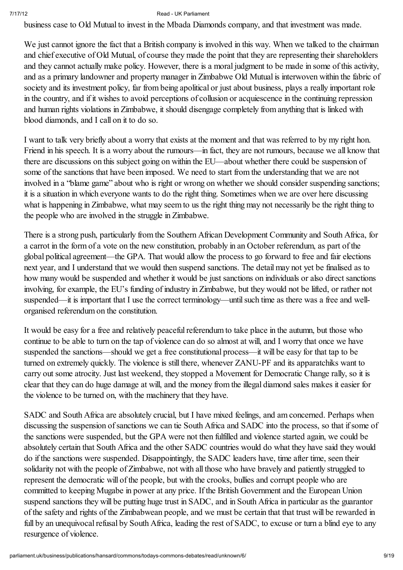business case to Old Mutual to invest in the Mbada Diamonds company, and that investment was made.

We just cannot ignore the fact that a British company is involved in this way. When we talked to the chairman and chief executive of Old Mutual, of course they made the point that they are representing their shareholders and they cannot actually make policy. However, there is a moral judgment to be made in some of this activity, and as a primary landowner and property manager in Zimbabwe Old Mutual is interwoven within the fabric of society and its investment policy, far from being apolitical or just about business, plays a really important role in the country, and if it wishes to avoid perceptions of collusion or acquiescence in the continuing repression and human rights violations in Zimbabwe, it should disengage completely from anything that is linked with blood diamonds, and I call on it to do so.

I want to talk very briefly about a worry that exists at the moment and that was referred to by my right hon. Friend in his speech. It is a worry about the rumours—in fact, they are not rumours, because we all know that there are discussions on this subject going on within the EU—about whether there could be suspension of some of the sanctions that have been imposed. We need to start from the understanding that we are not involved in a "blame game" about who is right or wrong on whether we should consider suspending sanctions; it is a situation in which everyone wants to do the right thing. Sometimes when we are over here discussing what is happening in Zimbabwe, what may seem to us the right thing may not necessarily be the right thing to the people who are involved in the struggle in Zimbabwe.

There is a strong push, particularly from the Southern African Development Community and South Africa, for a carrot in the form of a vote on the new constitution, probably in an October referendum, as part of the global political agreement—the GPA. That would allow the process to go forward to free and fair elections next year, and I understand that we would then suspend sanctions. The detail may not yet be finalised as to how many would be suspended and whether it would be just sanctions on individuals or also direct sanctions involving, for example, the EU's funding of industry in Zimbabwe, but they would not be lifted, or rather not suspended—it is important that I use the correct terminology—until such time as there was a free and wellorganised referendum on the constitution.

It would be easy for a free and relatively peaceful referendum to take place in the autumn, but those who continue to be able to turn on the tap of violence can do so almost at will, and I worry that once we have suspended the sanctions—should we get a free constitutional process—it will be easy for that tap to be turned on extremely quickly. The violence is still there, whenever ZANU-PF and its apparatchiks want to carry out some atrocity. Just last weekend, they stopped a Movement for Democratic Change rally, so it is clear that they can do huge damage at will, and the money from the illegal diamond sales makes it easier for the violence to be turned on, with the machinery that they have.

SADC and South Africa are absolutely crucial, but I have mixed feelings, and am concerned. Perhaps when discussing the suspension of sanctions we can tie South Africa and SADC into the process, so that if some of the sanctions were suspended, but the GPA were not then fulfilled and violence started again, we could be absolutely certain that South Africa and the other SADC countries would do what they have said they would do if the sanctions were suspended. Disappointingly, the SADC leaders have, time after time, seen their solidarity not with the people of Zimbabwe, not with all those who have bravely and patiently struggled to represent the democratic will of the people, but with the crooks, bullies and corrupt people who are committed to keeping Mugabe in power at any price. If the British Government and the European Union suspend sanctions they will be putting huge trust in SADC, and in South Africa in particular as the guarantor of the safety and rights of the Zimbabwean people, and we must be certain that that trust will be rewarded in full by an unequivocal refusal by South Africa, leading the rest of SADC, to excuse or turn a blind eye to any resurgence of violence.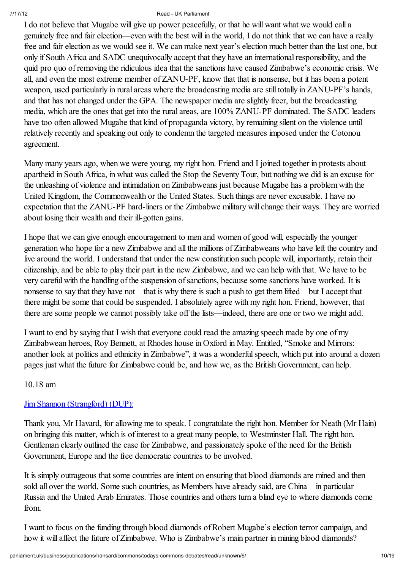I do not believe that Mugabe will give up power peacefully, or that he will want what we would call a genuinely free and fair election—even with the best will in the world, I do not think that we can have a really free and fair election as we would see it. We can make next year's election much better than the last one, but only if South Africa and SADC unequivocally accept that they have an internationalresponsibility, and the quid pro quo of removing the ridiculous idea that the sanctions have caused Zimbabwe's economic crisis. We all, and even the most extreme member of ZANU-PF, know that that is nonsense, but it has been a potent weapon, used particularly in rural areas where the broadcasting media are still totally in ZANU-PF's hands, and that has not changed under the GPA. The newspaper media are slightly freer, but the broadcasting media, which are the ones that get into the rural areas, are 100% ZANU-PF dominated. The SADC leaders have too often allowed Mugabe that kind of propaganda victory, by remaining silent on the violence until relatively recently and speaking out only to condemn the targeted measures imposed under the Cotonou agreement.

Many many years ago, when we were young, my right hon. Friend and I joined together in protests about apartheid in South Africa, in what was called the Stop the Seventy Tour, but nothing we did is an excuse for the unleashing of violence and intimidation on Zimbabweans just because Mugabe has a problem with the United Kingdom, the Commonwealth or the United States. Such things are never excusable. I have no expectation that the ZANU-PF hard-liners or the Zimbabwe military will change their ways. They are worried about losing their wealth and their ill-gotten gains.

I hope that we can give enough encouragement to men and women of good will, especially the younger generation who hope for a new Zimbabwe and all the millions of Zimbabweans who have left the country and live around the world. I understand that under the new constitution such people will, importantly, retain their citizenship, and be able to play their part in the new Zimbabwe, and we can help with that. We have to be very careful with the handling of the suspension of sanctions, because some sanctions have worked. It is nonsense to say that they have not—that is why there is such a push to get them lifted—but I accept that there might be some that could be suspended. I absolutely agree with my right hon. Friend, however, that there are some people we cannot possibly take off the lists—indeed, there are one or two we might add.

I want to end by saying that I wish that everyone could read the amazing speech made by one of my Zimbabwean heroes, Roy Bennett, at Rhodes house in Oxford in May. Entitled, "Smoke and Mirrors: another look at politics and ethnicity in Zimbabwe", it was a wonderfulspeech, which put into around a dozen pages just what the future for Zimbabwe could be, and how we, as the British Government, can help.

### 10.18 am

### Jim Shannon (Strangford) (DUP):

Thank you, Mr Havard, for allowing me to speak. I congratulate the right hon. Member for Neath (Mr Hain) on bringing this matter, which is of interest to a great many people, to Westminster Hall. The right hon. Gentleman clearly outlined the case for Zimbabwe, and passionately spoke of the need for the British Government, Europe and the free democratic countries to be involved.

It is simply outrageous that some countries are intent on ensuring that blood diamonds are mined and then sold all over the world. Some such countries, as Members have already said, are China—in particular— Russia and the United Arab Emirates. Those countries and others turn a blind eye to where diamonds come from.

I want to focus on the funding through blood diamonds of Robert Mugabe's election terror campaign, and how it will affect the future of Zimbabwe. Who is Zimbabwe's main partner in mining blood diamonds?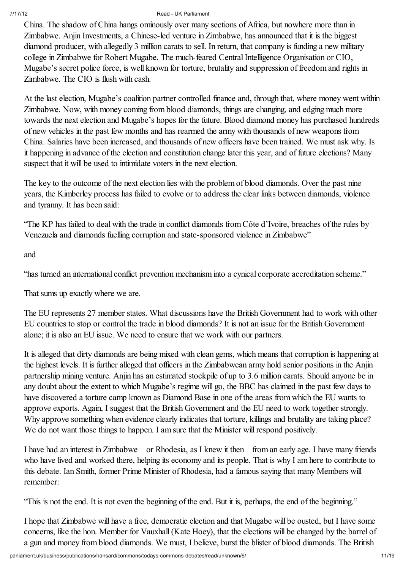China. The shadow of China hangs ominously over many sections of Africa, but nowhere more than in Zimbabwe. Anjin Investments, a Chinese-led venture in Zimbabwe, has announced that it is the biggest diamond producer, with allegedly 3 million carats to sell. In return, that company is funding a new military college in Zimbabwe for Robert Mugabe. The much-feared Central Intelligence Organisation or CIO, Mugabe's secret police force, is well known for torture, brutality and suppression of freedom and rights in Zimbabwe. The CIO is flush with cash.

At the last election, Mugabe's coalition partner controlled finance and, through that, where money went within Zimbabwe. Now, with money coming from blood diamonds, things are changing, and edging much more towards the next election and Mugabe's hopes for the future. Blood diamond money has purchased hundreds of new vehicles in the past few months and has rearmed the army with thousands of new weapons from China. Salaries have been increased, and thousands of new officers have been trained. We must ask why. Is it happening in advance of the election and constitution change later this year, and of future elections? Many suspect that it will be used to intimidate voters in the next election.

The key to the outcome of the next election lies with the problem of blood diamonds. Over the past nine years, the Kimberley process has failed to evolve or to address the clear links between diamonds, violence and tyranny. It has been said:

"The KP has failed to deal with the trade in conflict diamonds from Côte d'Ivoire, breaches of the rules by Venezuela and diamonds fuelling corruption and state-sponsored violence in Zimbabwe"

and

"has turned an international conflict prevention mechanism into a cynical corporate accreditation scheme."

That sums up exactly where we are.

The EU represents 27 member states. What discussions have the British Government had to work with other EU countries to stop or control the trade in blood diamonds? It is not an issue for the British Government alone; it is also an EU issue. We need to ensure that we work with our partners.

It is alleged that dirty diamonds are being mixed with clean gems, which means that corruption is happening at the highest levels. It is further alleged that officers in the Zimbabwean army hold senior positions in the Anjin partnership mining venture. Anjin has an estimated stockpile of up to 3.6 million carats. Should anyone be in any doubt about the extent to which Mugabe's regime will go, the BBC has claimed in the past few days to have discovered a torture camp known as Diamond Base in one of the areas from which the EU wants to approve exports. Again, I suggest that the British Government and the EU need to work together strongly. Why approve something when evidence clearly indicates that torture, killings and brutality are taking place? We do not want those things to happen. I am sure that the Minister will respond positively.

I have had an interest in Zimbabwe—or Rhodesia, as I knew it then—from an early age. I have many friends who have lived and worked there, helping its economy and its people. That is why I am here to contribute to this debate. Ian Smith, former Prime Minister of Rhodesia, had a famous saying that many Members will remember:

"This is not the end. It is not even the beginning of the end. But it is, perhaps, the end of the beginning."

I hope that Zimbabwe will have a free, democratic election and that Mugabe will be ousted, but I have some concerns, like the hon. Member for Vauxhall(Kate Hoey), that the elections will be changed by the barrel of a gun and money from blood diamonds. We must, I believe, burst the blister of blood diamonds. The British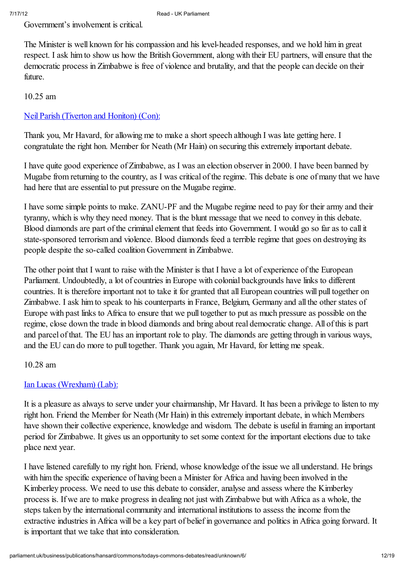Government's involvement is critical.

The Minister is well known for his compassion and his level-headed responses, and we hold him in great respect. I ask him to show us how the British Government, along with their EU partners, will ensure that the democratic process in Zimbabwe is free of violence and brutality, and that the people can decide on their future.

### 10.25 am

### Neil Parish (Tiverton and Honiton) (Con):

Thank you, Mr Havard, for allowing me to make a short speech although I was late getting here. I congratulate the right hon. Member for Neath (Mr Hain) on securing this extremely important debate.

I have quite good experience of Zimbabwe, as I was an election observer in 2000. I have been banned by Mugabe from returning to the country, as I was critical of the regime. This debate is one of many that we have had here that are essential to put pressure on the Mugabe regime.

I have some simple points to make. ZANU-PF and the Mugabe regime need to pay for their army and their tyranny, which is why they need money. That is the blunt message that we need to convey in this debate. Blood diamonds are part of the criminal element that feeds into Government. I would go so far as to call it state-sponsored terrorism and violence. Blood diamonds feed a terrible regime that goes on destroying its people despite the so-called coalition Government in Zimbabwe.

The other point that I want to raise with the Minister is that I have a lot of experience of the European Parliament. Undoubtedly, a lot of countries in Europe with colonial backgrounds have links to different countries. It is therefore important not to take it for granted that all European countries will pull together on Zimbabwe. I ask him to speak to his counterparts in France, Belgium, Germany and all the other states of Europe with past links to Africa to ensure that we pull together to put as much pressure as possible on the regime, close down the trade in blood diamonds and bring about real democratic change. All of this is part and parcel of that. The EU has an important role to play. The diamonds are getting through in various ways, and the EU can do more to pull together. Thank you again, Mr Havard, for letting me speak.

10.28 am

### Ian Lucas (Wrexham) (Lab):

It is a pleasure as always to serve under your chairmanship, Mr Havard. It has been a privilege to listen to my right hon. Friend the Member for Neath (Mr Hain) in this extremely important debate, in which Members have shown their collective experience, knowledge and wisdom. The debate is useful in framing an important period for Zimbabwe. It gives us an opportunity to set some context for the important elections due to take place next year.

I have listened carefully to my right hon. Friend, whose knowledge of the issue we all understand. He brings with him the specific experience of having been a Minister for Africa and having been involved in the Kimberley process. We need to use this debate to consider, analyse and assess where the Kimberley process is. If we are to make progress in dealing not just with Zimbabwe but with Africa as a whole, the steps taken by the international community and international institutions to assess the income from the extractive industries in Africa will be a key part of belief in governance and politics in Africa going forward. It is important that we take that into consideration.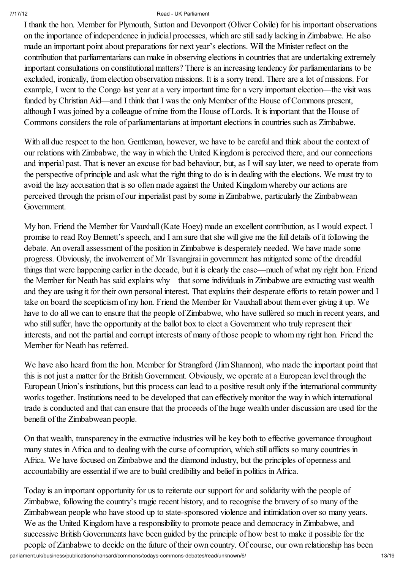I thank the hon. Member for Plymouth, Sutton and Devonport (Oliver Colvile) for his important observations on the importance of independence in judicial processes, which are stillsadly lacking in Zimbabwe. He also made an important point about preparations for next year's elections. Will the Minister reflect on the contribution that parliamentarians can make in observing elections in countries that are undertaking extremely important consultations on constitutional matters? There is an increasing tendency for parliamentarians to be excluded, ironically, from election observation missions. It is a sorry trend. There are a lot of missions. For example, I went to the Congo last year at a very important time for a very important election—the visit was funded by Christian Aid—and I think that I was the only Member of the House of Commons present, although I was joined by a colleague of mine from the House of Lords. It is important that the House of Commons considers the role of parliamentarians at important elections in countries such as Zimbabwe.

With all due respect to the hon. Gentleman, however, we have to be careful and think about the context of our relations with Zimbabwe, the way in which the United Kingdom is perceived there, and our connections and imperial past. That is never an excuse for bad behaviour, but, as I will say later, we need to operate from the perspective of principle and ask what the right thing to do is in dealing with the elections. We must try to avoid the lazy accusation that is so often made against the United Kingdom whereby our actions are perceived through the prism of our imperialist past by some in Zimbabwe, particularly the Zimbabwean Government.

My hon. Friend the Member for Vauxhall(Kate Hoey) made an excellent contribution, as I would expect. I promise to read Roy Bennett's speech, and I am sure that she will give me the full details of it following the debate. An overall assessment of the position in Zimbabwe is desperately needed. We have made some progress. Obviously, the involvement of Mr Tsvangirai in government has mitigated some of the dreadful things that were happening earlier in the decade, but it is clearly the case—much of what my right hon. Friend the Member for Neath has said explains why—that some individuals in Zimbabwe are extracting vast wealth and they are using it for their own personal interest. That explains their desperate efforts to retain power and I take on board the scepticism of my hon. Friend the Member for Vauxhall about them ever giving it up. We have to do all we can to ensure that the people of Zimbabwe, who have suffered so much in recent years, and who still suffer, have the opportunity at the ballot box to elect a Government who truly represent their interests, and not the partial and corrupt interests of many of those people to whom my right hon. Friend the Member for Neath has referred.

We have also heard from the hon. Member for Strangford (Jim Shannon), who made the important point that this is not just a matter for the British Government. Obviously, we operate at a European level through the European Union's institutions, but this process can lead to a positive result only if the international community works together. Institutions need to be developed that can effectively monitor the way in which international trade is conducted and that can ensure that the proceeds of the huge wealth under discussion are used for the benefit of the Zimbabwean people.

On that wealth, transparency in the extractive industries will be key both to effective governance throughout many states in Africa and to dealing with the curse of corruption, which still afflicts so many countries in Africa. We have focused on Zimbabwe and the diamond industry, but the principles of openness and accountability are essential if we are to build credibility and belief in politics in Africa.

parliament.uk/business/publications/hansard/commons/todays-commons-debates/read/unknown/6/ 13/19 Today is an important opportunity for us to reiterate our support for and solidarity with the people of Zimbabwe, following the country's tragic recent history, and to recognise the bravery of so many of the Zimbabwean people who have stood up to state-sponsored violence and intimidation over so many years. We as the United Kingdom have a responsibility to promote peace and democracy in Zimbabwe, and successive British Governments have been guided by the principle of how best to make it possible for the people of Zimbabwe to decide on the future of their own country. Of course, our own relationship has been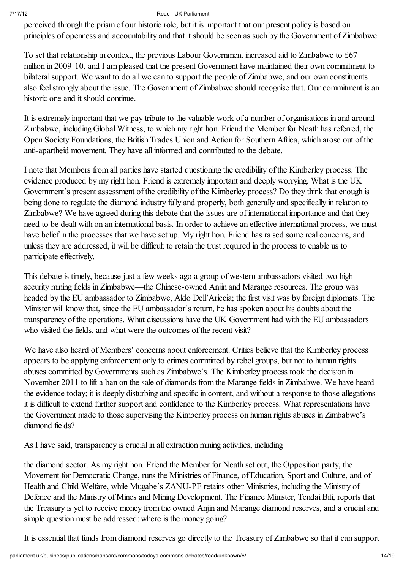perceived through the prism of our historic role, but it is important that our present policy is based on principles of openness and accountability and that it should be seen as such by the Government of Zimbabwe.

To set that relationship in context, the previous Labour Government increased aid to Zimbabwe to £67 million in 2009-10, and I am pleased that the present Government have maintained their own commitment to bilateral support. We want to do all we can to support the people of Zimbabwe, and our own constituents also feel strongly about the issue. The Government of Zimbabwe should recognise that. Our commitment is an historic one and it should continue.

It is extremely important that we pay tribute to the valuable work of a number of organisations in and around Zimbabwe, including Global Witness, to which my right hon. Friend the Member for Neath has referred, the Open Society Foundations, the British Trades Union and Action for Southern Africa, which arose out of the anti-apartheid movement. They have all informed and contributed to the debate.

I note that Members from all parties have started questioning the credibility of the Kimberley process. The evidence produced by my right hon. Friend is extremely important and deeply worrying. What is the UK Government's present assessment of the credibility of the Kimberley process? Do they think that enough is being done to regulate the diamond industry fully and properly, both generally and specifically in relation to Zimbabwe? We have agreed during this debate that the issues are of international importance and that they need to be dealt with on an international basis. In order to achieve an effective international process, we must have belief in the processes that we have set up. My right hon. Friend has raised some real concerns, and unless they are addressed, it will be difficult to retain the trust required in the process to enable us to participate effectively.

This debate is timely, because just a few weeks ago a group of western ambassadors visited two highsecurity mining fields in Zimbabwe—the Chinese-owned Anjin and Marange resources. The group was headed by the EU ambassador to Zimbabwe, Aldo Dell'Ariccia; the first visit was by foreign diplomats. The Minister will know that, since the EU ambassador's return, he has spoken about his doubts about the transparency of the operations. What discussions have the UK Government had with the EU ambassadors who visited the fields, and what were the outcomes of the recent visit?

We have also heard of Members' concerns about enforcement. Critics believe that the Kimberley process appears to be applying enforcement only to crimes committed by rebel groups, but not to human rights abuses committed by Governments such as Zimbabwe's. The Kimberley process took the decision in November 2011 to lift a ban on the sale of diamonds from the Marange fields in Zimbabwe. We have heard the evidence today; it is deeply disturbing and specific in content, and without a response to those allegations it is difficult to extend further support and confidence to the Kimberley process. What representations have the Government made to those supervising the Kimberley process on human rights abuses in Zimbabwe's diamond fields?

As I have said, transparency is crucial in all extraction mining activities, including

the diamond sector. As my right hon. Friend the Member for Neath set out, the Opposition party, the Movement for Democratic Change, runs the Ministries of Finance, of Education, Sport and Culture, and of Health and Child Welfare, while Mugabe's ZANU-PF retains other Ministries, including the Ministry of Defence and the Ministry of Mines and Mining Development. The Finance Minister, Tendai Biti, reports that the Treasury is yet to receive money from the owned Anjin and Marange diamond reserves, and a crucial and simple question must be addressed: where is the money going?

It is essential that funds from diamond reserves go directly to the Treasury of Zimbabwe so that it can support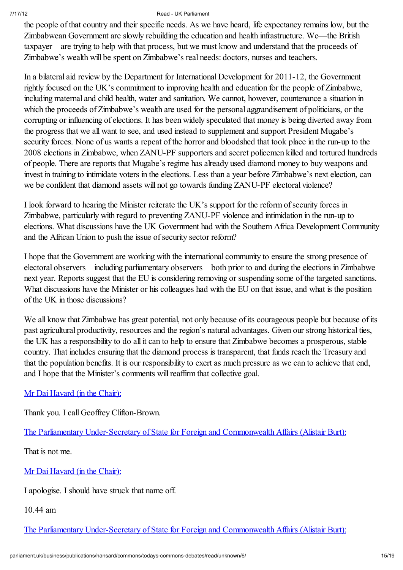the people of that country and their specific needs. As we have heard, life expectancy remains low, but the Zimbabwean Government are slowly rebuilding the education and health infrastructure. We—the British taxpayer—are trying to help with that process, but we must know and understand that the proceeds of Zimbabwe's wealth will be spent on Zimbabwe's real needs: doctors, nurses and teachers.

In a bilateral aid review by the Department for International Development for 2011-12, the Government rightly focused on the UK's commitment to improving health and education for the people of Zimbabwe, including maternal and child health, water and sanitation. We cannot, however, countenance a situation in which the proceeds of Zimbabwe's wealth are used for the personal aggrandisement of politicians, or the corrupting or influencing of elections. It has been widely speculated that money is being diverted away from the progress that we all want to see, and used instead to supplement and support President Mugabe's security forces. None of us wants a repeat of the horror and bloodshed that took place in the run-up to the 2008 elections in Zimbabwe, when ZANU-PF supporters and secret policemen killed and tortured hundreds of people. There are reports that Mugabe's regime has already used diamond money to buy weapons and invest in training to intimidate voters in the elections. Less than a year before Zimbabwe's next election, can we be confident that diamond assets will not go towards funding ZANU-PF electoral violence?

I look forward to hearing the Minister reiterate the UK's support for the reform ofsecurity forces in Zimbabwe, particularly with regard to preventing ZANU-PF violence and intimidation in the run-up to elections. What discussions have the UK Government had with the Southern Africa Development Community and the African Union to push the issue of security sector reform?

I hope that the Government are working with the international community to ensure the strong presence of electoral observers—including parliamentary observers—both prior to and during the elections in Zimbabwe next year. Reports suggest that the EU is considering removing or suspending some of the targeted sanctions. What discussions have the Minister or his colleagues had with the EU on that issue, and what is the position of the UK in those discussions?

We all know that Zimbabwe has great potential, not only because of its courageous people but because of its past agricultural productivity, resources and the region's natural advantages. Given our strong historical ties, the UK has a responsibility to do all it can to help to ensure that Zimbabwe becomes a prosperous, stable country. That includes ensuring that the diamond process is transparent, that funds reach the Treasury and that the population benefits. It is our responsibility to exert as much pressure as we can to achieve that end, and I hope that the Minister's comments willreaffirm that collective goal.

### Mr Dai Havard (in the Chair):

Thank you. I call Geoffrey Clifton-Brown.

The Parliamentary Under-Secretary of State for Foreign and Commonwealth Affairs (Alistair Burt):

That is not me.

Mr Dai Havard (in the Chair):

I apologise. I should have struck that name off.

10.44 am

The Parliamentary Under-Secretary of State for Foreign and Commonwealth Affairs (Alistair Burt):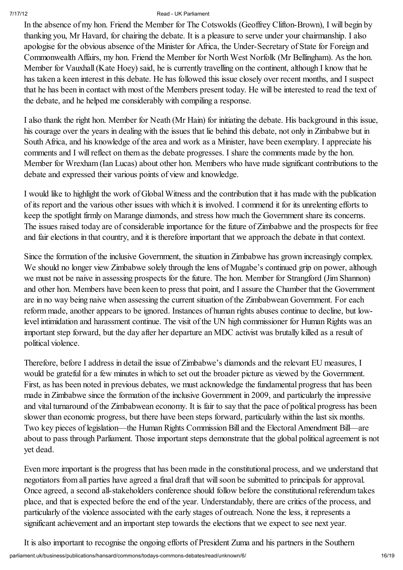In the absence of my hon. Friend the Member for The Cotswolds (Geoffrey Clifton-Brown), I will begin by thanking you, Mr Havard, for chairing the debate. It is a pleasure to serve under your chairmanship. I also apologise for the obvious absence of the Minister for Africa, the Under-Secretary of State for Foreign and Commonwealth Affairs, my hon. Friend the Member for North West Norfolk (Mr Bellingham). As the hon. Member for Vauxhall(Kate Hoey) said, he is currently travelling on the continent, although I know that he has taken a keen interest in this debate. He has followed this issue closely over recent months, and I suspect that he has been in contact with most of the Members present today. He will be interested to read the text of the debate, and he helped me considerably with compiling a response.

I also thank the right hon. Member for Neath (Mr Hain) for initiating the debate. His background in this issue, his courage over the years in dealing with the issues that lie behind this debate, not only in Zimbabwe but in South Africa, and his knowledge of the area and work as a Minister, have been exemplary. I appreciate his comments and I will reflect on them as the debate progresses. I share the comments made by the hon. Member for Wrexham (Ian Lucas) about other hon. Members who have made significant contributions to the debate and expressed their various points of view and knowledge.

I would like to highlight the work of Global Witness and the contribution that it has made with the publication of its report and the various other issues with which it is involved. I commend it for its unrelenting efforts to keep the spotlight firmly on Marange diamonds, and stress how much the Government share its concerns. The issues raised today are of considerable importance for the future of Zimbabwe and the prospects for free and fair elections in that country, and it is therefore important that we approach the debate in that context.

Since the formation of the inclusive Government, the situation in Zimbabwe has grown increasingly complex. We should no longer view Zimbabwe solely through the lens of Mugabe's continued grip on power, although we must not be naive in assessing prospects for the future. The hon. Member for Strangford (Jim Shannon) and other hon. Members have been keen to press that point, and I assure the Chamber that the Government are in no way being naive when assessing the current situation of the Zimbabwean Government. For each reform made, another appears to be ignored. Instances of human rights abuses continue to decline, but lowlevel intimidation and harassment continue. The visit of the UN high commissioner for Human Rights was an important step forward, but the day after her departure an MDC activist was brutally killed as a result of political violence.

Therefore, before I address in detail the issue of Zimbabwe's diamonds and the relevant EU measures, I would be grateful for a few minutes in which to set out the broader picture as viewed by the Government. First, as has been noted in previous debates, we must acknowledge the fundamental progress that has been made in Zimbabwe since the formation of the inclusive Government in 2009, and particularly the impressive and vital turnaround of the Zimbabwean economy. It is fair to say that the pace of political progress has been slower than economic progress, but there have been steps forward, particularly within the last six months. Two key pieces of legislation—the Human Rights Commission Bill and the Electoral Amendment Bill—are about to pass through Parliament. Those important steps demonstrate that the global political agreement is not yet dead.

Even more important is the progress that has been made in the constitutional process, and we understand that negotiators from all parties have agreed a final draft that willsoon be submitted to principals for approval. Once agreed, a second all-stakeholders conference should follow before the constitutional referendum takes place, and that is expected before the end of the year. Understandably, there are critics of the process, and particularly of the violence associated with the early stages of outreach. None the less, it represents a significant achievement and an important step towards the elections that we expect to see next year.

It is also important to recognise the ongoing efforts of President Zuma and his partners in the Southern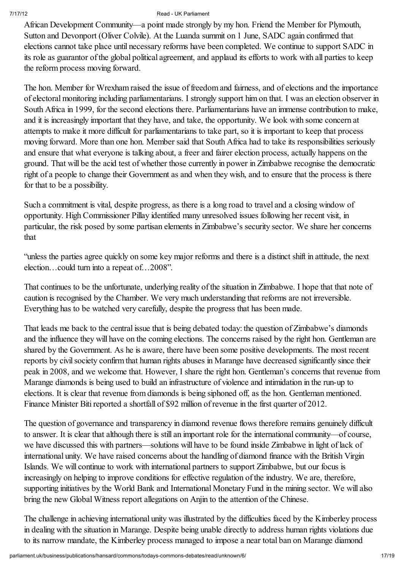African Development Community—a point made strongly by my hon. Friend the Member for Plymouth, Sutton and Devonport (Oliver Colvile). At the Luanda summit on 1 June, SADC again confirmed that elections cannot take place until necessary reforms have been completed. We continue to support SADC in its role as guarantor of the global political agreement, and applaud its efforts to work with all parties to keep the reform process moving forward.

The hon. Member for Wrexham raised the issue of freedom and fairness, and of elections and the importance of electoral monitoring including parliamentarians. I strongly support him on that. I was an election observer in South Africa in 1999, for the second elections there. Parliamentarians have an immense contribution to make, and it is increasingly important that they have, and take, the opportunity. We look with some concern at attempts to make it more difficult for parliamentarians to take part, so it is important to keep that process moving forward. More than one hon. Member said that South Africa had to take its responsibilities seriously and ensure that what everyone is talking about, a freer and fairer election process, actually happens on the ground. That will be the acid test of whether those currently in power in Zimbabwe recognise the democratic right of a people to change their Government as and when they wish, and to ensure that the process is there for that to be a possibility.

Such a commitment is vital, despite progress, as there is a long road to travel and a closing window of opportunity. High Commissioner Pillay identified many unresolved issues following her recent visit, in particular, the risk posed by some partisan elements in Zimbabwe's security sector. We share her concerns that

"unless the parties agree quickly on some key major reforms and there is a distinct shift in attitude, the next election…could turn into a repeat of…2008".

That continues to be the unfortunate, underlying reality of the situation in Zimbabwe. I hope that that note of caution is recognised by the Chamber. We very much understanding that reforms are not irreversible. Everything has to be watched very carefully, despite the progress that has been made.

That leads me back to the central issue that is being debated today: the question of Zimbabwe's diamonds and the influence they will have on the coming elections. The concerns raised by the right hon. Gentleman are shared by the Government. As he is aware, there have been some positive developments. The most recent reports by civil society confirm that human rights abuses in Marange have decreased significantly since their peak in 2008, and we welcome that. However, I share the right hon. Gentleman's concerns that revenue from Marange diamonds is being used to build an infrastructure of violence and intimidation in the run-up to elections. It is clear that revenue from diamonds is being siphoned off, as the hon. Gentleman mentioned. Finance Minister Biti reported a shortfall of \$92 million of revenue in the first quarter of 2012.

The question of governance and transparency in diamond revenue flows therefore remains genuinely difficult to answer. It is clear that although there is still an important role for the international community—of course, we have discussed this with partners—solutions will have to be found inside Zimbabwe in light of lack of international unity. We have raised concerns about the handling of diamond finance with the British Virgin Islands. We will continue to work with international partners to support Zimbabwe, but our focus is increasingly on helping to improve conditions for effective regulation of the industry. We are, therefore, supporting initiatives by the World Bank and International Monetary Fund in the mining sector. We will also bring the new Global Witness report allegations on Anjin to the attention of the Chinese.

The challenge in achieving international unity was illustrated by the difficulties faced by the Kimberley process in dealing with the situation in Marange. Despite being unable directly to address human rights violations due to its narrow mandate, the Kimberley process managed to impose a near total ban on Marange diamond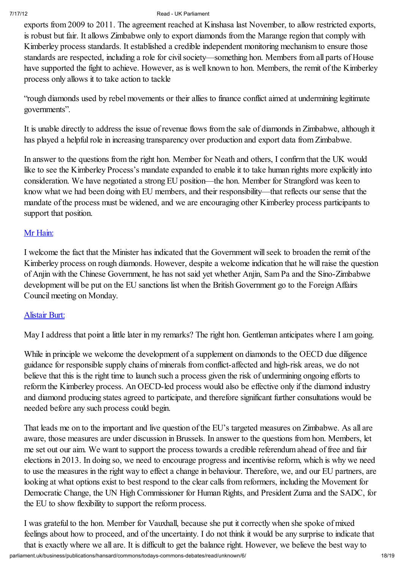exports from 2009 to 2011. The agreement reached at Kinshasa last November, to allow restricted exports, is robust but fair. It allows Zimbabwe only to export diamonds from the Marange region that comply with Kimberley process standards. It established a credible independent monitoring mechanism to ensure those standards are respected, including a role for civil society—something hon. Members from all parts of House have supported the fight to achieve. However, as is well known to hon. Members, the remit of the Kimberley process only allows it to take action to tackle

"rough diamonds used by rebel movements or their allies to finance conflict aimed at undermining legitimate governments".

It is unable directly to address the issue of revenue flows from the sale of diamonds in Zimbabwe, although it has played a helpful role in increasing transparency over production and export data from Zimbabwe.

In answer to the questions from the right hon. Member for Neath and others, I confirm that the UK would like to see the Kimberley Process's mandate expanded to enable it to take human rights more explicitly into consideration. We have negotiated a strong EU position—the hon. Member for Strangford was keen to know what we had been doing with EU members, and their responsibility—that reflects our sense that the mandate of the process must be widened, and we are encouraging other Kimberley process participants to support that position.

### Mr Hain:

I welcome the fact that the Minister has indicated that the Government willseek to broaden the remit of the Kimberley process on rough diamonds. However, despite a welcome indication that he willraise the question of Anjin with the Chinese Government, he has not said yet whether Anjin, Sam Pa and the Sino-Zimbabwe development will be put on the EU sanctions list when the British Government go to the Foreign Affairs Council meeting on Monday.

### Alistair Burt:

May I address that point a little later in my remarks? The right hon. Gentleman anticipates where I am going.

While in principle we welcome the development of a supplement on diamonds to the OECD due diligence guidance for responsible supply chains of minerals from conflict-affected and high-risk areas, we do not believe that this is the right time to launch such a process given the risk of undermining ongoing efforts to reform the Kimberley process. An OECD-led process would also be effective only if the diamond industry and diamond producing states agreed to participate, and therefore significant further consultations would be needed before any such process could begin.

That leads me on to the important and live question of the EU's targeted measures on Zimbabwe. As all are aware, those measures are under discussion in Brussels. In answer to the questions from hon. Members, let me set out our aim. We want to support the process towards a credible referendum ahead of free and fair elections in 2013. In doing so, we need to encourage progress and incentivise reform, which is why we need to use the measures in the right way to effect a change in behaviour. Therefore, we, and our EU partners, are looking at what options exist to best respond to the clear calls from reformers, including the Movement for Democratic Change, the UN High Commissioner for Human Rights, and President Zuma and the SADC, for the EU to show flexibility to support the reform process.

parliament.uk/business/publications/hansard/commons/todays-commons-debates/read/unknown/6/ 18/19 I was grateful to the hon. Member for Vauxhall, because she put it correctly when she spoke of mixed feelings about how to proceed, and of the uncertainty. I do not think it would be any surprise to indicate that that is exactly where we all are. It is difficult to get the balance right. However, we believe the best way to